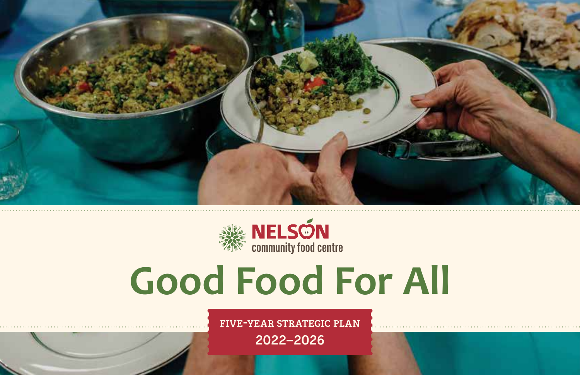



# **Good Food For All**

**five-year strategic plan 2022–2026**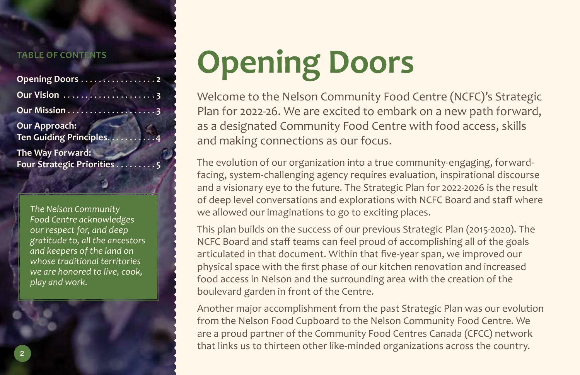#### **TABLE OF CONTENTS**

| Opening Doors 2                            |  |
|--------------------------------------------|--|
|                                            |  |
|                                            |  |
| Our Approach:<br>Ten Guiding Principles. 4 |  |
| The Way Forward:                           |  |

**Four Strategic Priorities** .

*The Nelson Community Food Centre acknowledges our respect for, and deep gratitude to, all the ancestors and keepers of the land on whose traditional territories we are honored to live, cook, play and work.*

# **Opening Doors**

Welcome to the Nelson Community Food Centre (NCFC)'s Strategic Plan for 2022-26. We are excited to embark on a new path forward, as a designated Community Food Centre with food access, skills and making connections as our focus.

The evolution of our organization into a true community-engaging, forwardfacing, system-challenging agency requires evaluation, inspirational discourse and a visionary eye to the future. The Strategic Plan for 2022-2026 is the result of deep level conversations and explorations with NCFC Board and staff where we allowed our imaginations to go to exciting places.

This plan builds on the success of our previous Strategic Plan (2015-2020). The NCFC Board and staff teams can feel proud of accomplishing all of the goals articulated in that document. Within that five-year span, we improved our physical space with the first phase of our kitchen renovation and increased food access in Nelson and the surrounding area with the creation of the boulevard garden in front of the Centre.

Another major accomplishment from the past Strategic Plan was our evolution from the Nelson Food Cupboard to the Nelson Community Food Centre. We are a proud partner of the Community Food Centres Canada (CFCC) network that links us to thirteen other like-minded organizations across the country. **<sup>2</sup>**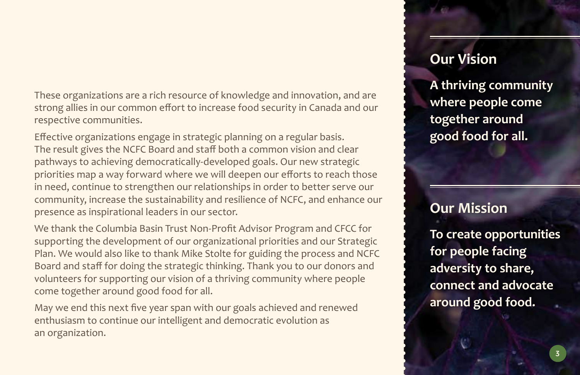These organizations are a rich resource of knowledge and innovation, and are strong allies in our common effort to increase food security in Canada and our respective communities.

Effective organizations engage in strategic planning on a regular basis. The result gives the NCFC Board and staff both a common vision and clear pathways to achieving democratically-developed goals. Our new strategic priorities map a way forward where we will deepen our efforts to reach those in need, continue to strengthen our relationships in order to better serve our community, increase the sustainability and resilience of NCFC, and enhance our presence as inspirational leaders in our sector.

We thank the Columbia Basin Trust Non-Profit Advisor Program and CFCC for supporting the development of our organizational priorities and our Strategic Plan. We would also like to thank Mike Stolte for guiding the process and NCFC Board and staff for doing the strategic thinking. Thank you to our donors and volunteers for supporting our vision of a thriving community where people come together around good food for all.

May we end this next five year span with our goals achieved and renewed enthusiasm to continue our intelligent and democratic evolution as an organization.

### **Our Vision**

**A thriving community where people come together around good food for all.**

#### **Our Mission**

**To create opportunities for people facing adversity to share, connect and advocate around good food.**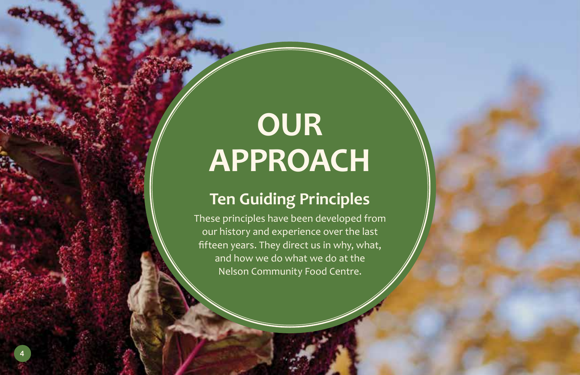## **OUR APPROACH**

### **Ten Guiding Principles**

These principles have been developed from our history and experience over the last fifteen years. They direct us in why, what, and how we do what we do at the Nelson Community Food Centre.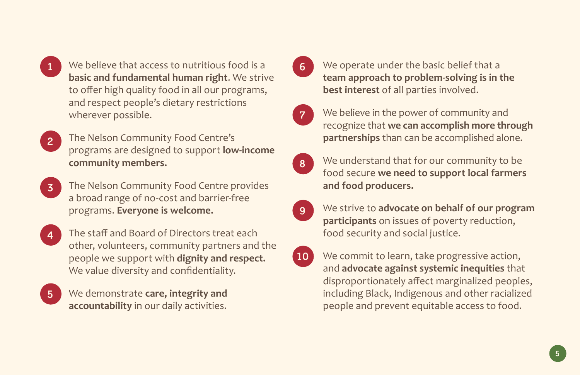

We believe that access to nutritious food is a **1 6 basic and fundamental human right**. We strive to offer high quality food in all our programs, and respect people's dietary restrictions wherever possible.

- The Nelson Community Food Centre's programs are designed to support **low-income community members. 2**
- The Nelson Community Food Centre provides a broad range of no-cost and barrier-free programs. **Everyone is welcome. 3**
- **4**

The staff and Board of Directors treat each other, volunteers, community partners and the people we support with **dignity and respect.** We value diversity and confidentiality.



We demonstrate **care, integrity and accountability** in our daily activities.

We operate under the basic belief that a **team approach to problem-solving is in the best interest** of all parties involved.



We believe in the power of community and recognize that **we can accomplish more through partnerships** than can be accomplished alone.

- We understand that for our community to be food secure **we need to support local farmers and food producers. 8**
- We strive to **advocate on behalf of our program participants** on issues of poverty reduction, food security and social justice. **9**
- We commit to learn, take progressive action, and **advocate against systemic inequities** that disproportionately affect marginalized peoples, including Black, Indigenous and other racialized people and prevent equitable access to food. **10**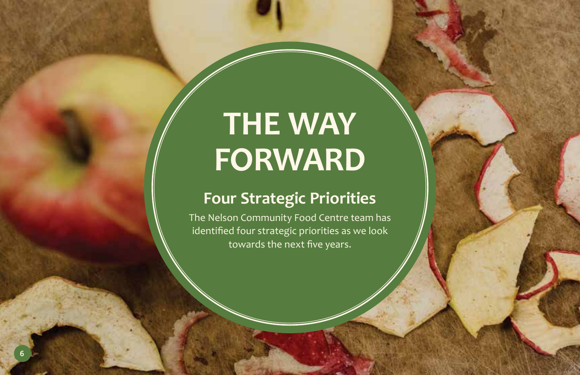# **THE WAY FORWARD**

## **Four Strategic Priorities**

The Nelson Community Food Centre team has identified four strategic priorities as we look towards the next five years.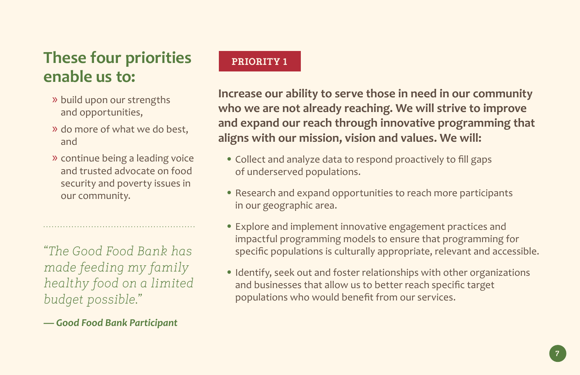## **These four priorities enable us to:**

- » build upon our strengths and opportunities,
- » do more of what we do best, and
- » continue being a leading voice and trusted advocate on food security and poverty issues in our community.

*"The Good Food Bank has made feeding my family healthy food on a limited budget possible."* 

*— Good Food Bank Participant*

#### **PRIORITY 1**

**Increase our ability to serve those in need in our community who we are not already reaching. We will strive to improve and expand our reach through innovative programming that aligns with our mission, vision and values. We will:**

- **•** Collect and analyze data to respond proactively to fill gaps of underserved populations.
- **•** Research and expand opportunities to reach more participants in our geographic area.
- **•** Explore and implement innovative engagement practices and impactful programming models to ensure that programming for specific populations is culturally appropriate, relevant and accessible.
- **•** Identify, seek out and foster relationships with other organizations and businesses that allow us to better reach specific target populations who would benefit from our services.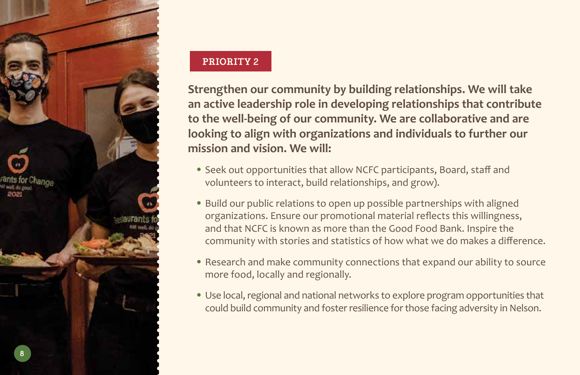

#### **PRIORITY 2**

**Strengthen our community by building relationships. We will take an active leadership role in developing relationships that contribute to the well-being of our community. We are collaborative and are looking to align with organizations and individuals to further our mission and vision. We will:**

- **•** Seek out opportunities that allow NCFC participants, Board, staff and volunteers to interact, build relationships, and grow).
- **•** Build our public relations to open up possible partnerships with aligned organizations. Ensure our promotional material reflects this willingness, and that NCFC is known as more than the Good Food Bank. Inspire the community with stories and statistics of how what we do makes a difference.
- **•** Research and make community connections that expand our ability to source more food, locally and regionally.
- **•** Use local, regional and national networks to explore program opportunities that could build community and foster resilience for those facing adversity in Nelson.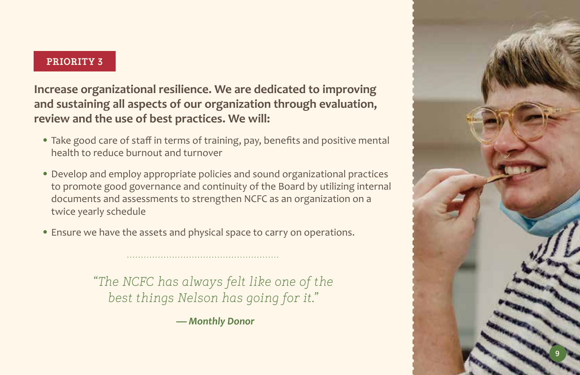#### **PRIORITY 3**

**Increase organizational resilience. We are dedicated to improving and sustaining all aspects of our organization through evaluation, review and the use of best practices. We will:**

- **•** Take good care of staff in terms of training, pay, benefits and positive mental health to reduce burnout and turnover
- **•** Develop and employ appropriate policies and sound organizational practices to promote good governance and continuity of the Board by utilizing internal documents and assessments to strengthen NCFC as an organization on a twice yearly schedule
- **•** Ensure we have the assets and physical space to carry on operations.

*"The NCFC has always felt like one of the best things Nelson has going for it."* 

*— Monthly Donor*

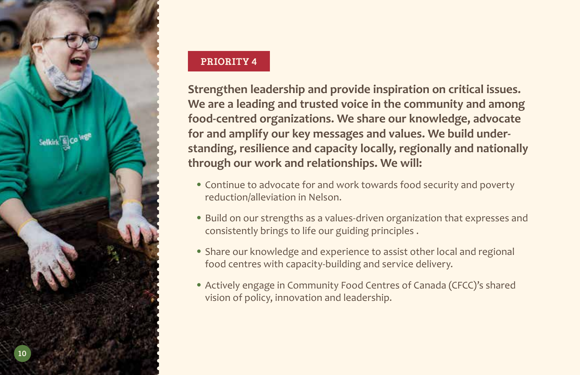

#### **PRIORITY 4**

**Strengthen leadership and provide inspiration on critical issues. We are a leading and trusted voice in the community and among food-centred organizations. We share our knowledge, advocate for and amplify our key messages and values. We build understanding, resilience and capacity locally, regionally and nationally through our work and relationships. We will:**

- **•** Continue to advocate for and work towards food security and poverty reduction/alleviation in Nelson.
- **•** Build on our strengths as a values-driven organization that expresses and consistently brings to life our guiding principles .
- **•** Share our knowledge and experience to assist other local and regional food centres with capacity-building and service delivery.
- **•** Actively engage in Community Food Centres of Canada (CFCC)'s shared vision of policy, innovation and leadership.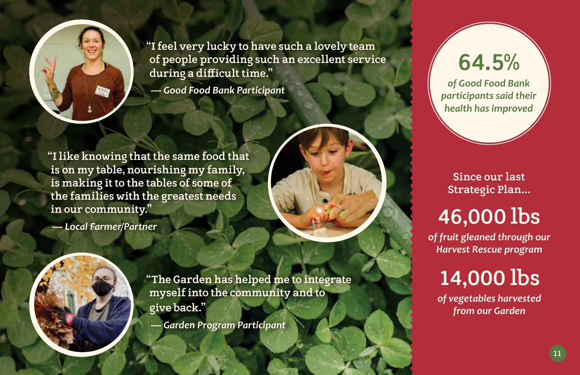

**"I feel very lucky to have such a lovely team of people providing such an excellent service during a difficult time."**

*— Good Food Bank Participant*

**"I like knowing that the same food that is on my table, nourishing my family, is making it to the tables of some of the families with the greatest needs in our community."**

*— Local Farmer/Partner*

**"The Garden has helped me to integrate myself into the community and to give back."**

*— Garden Program Participant*

## **64.5%**

*of Good Food Bank participants said their health has improved*

**Since our last Strategic Plan...**

## **46,000 lbs**

*of fruit gleaned through our Harvest Rescue program*

## **14,000 lbs**

*of vegetables harvested from our Garden*